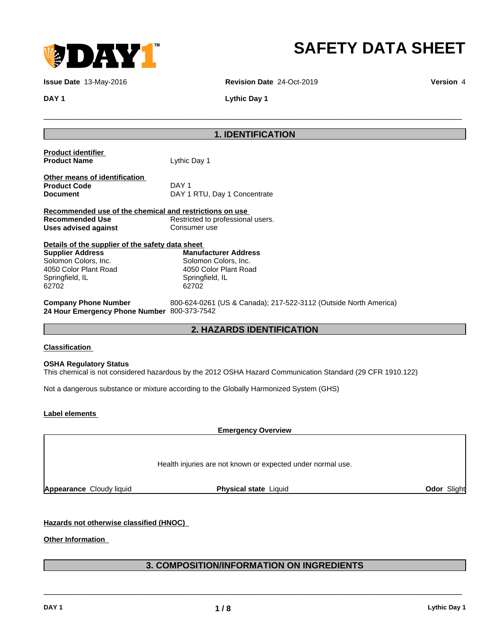

## **SAFETY DATA SHEET**

**Issue Date** 13-May-2016 **Revision Date** 24-Oct-2019 **Version** 4

 $\overline{\phantom{a}}$  ,  $\overline{\phantom{a}}$  ,  $\overline{\phantom{a}}$  ,  $\overline{\phantom{a}}$  ,  $\overline{\phantom{a}}$  ,  $\overline{\phantom{a}}$  ,  $\overline{\phantom{a}}$  ,  $\overline{\phantom{a}}$  ,  $\overline{\phantom{a}}$  ,  $\overline{\phantom{a}}$  ,  $\overline{\phantom{a}}$  ,  $\overline{\phantom{a}}$  ,  $\overline{\phantom{a}}$  ,  $\overline{\phantom{a}}$  ,  $\overline{\phantom{a}}$  ,  $\overline{\phantom{a}}$ 

**DAY 1 Lythic Day 1** 

## **1. IDENTIFICATION**

| <b>OSHA Regulatory Status</b><br>This chemical is not considered hazardous by the 2012 OSHA Hazard Communication Standard (29 CFR 1910.122) |                                                                                                          |  |  |  |
|---------------------------------------------------------------------------------------------------------------------------------------------|----------------------------------------------------------------------------------------------------------|--|--|--|
| Classification                                                                                                                              |                                                                                                          |  |  |  |
| <b>2. HAZARDS IDENTIFICATION</b>                                                                                                            |                                                                                                          |  |  |  |
| <b>Company Phone Number</b><br>24 Hour Emergency Phone Number 800-373-7542                                                                  | 800-624-0261 (US & Canada); 217-522-3112 (Outside North America)                                         |  |  |  |
| <b>Supplier Address</b><br>Solomon Colors, Inc.<br>4050 Color Plant Road<br>Springfield, IL<br>62702                                        | <b>Manufacturer Address</b><br>Solomon Colors, Inc.<br>4050 Color Plant Road<br>Springfield, IL<br>62702 |  |  |  |
| Details of the supplier of the safety data sheet                                                                                            |                                                                                                          |  |  |  |
| Uses advised against                                                                                                                        | Consumer use                                                                                             |  |  |  |
| Recommended use of the chemical and restrictions on use<br><b>Recommended Use</b>                                                           | Restricted to professional users.                                                                        |  |  |  |
| Other means of identification<br><b>Product Code</b><br>Document                                                                            | DAY 1<br>DAY 1 RTU, Day 1 Concentrate                                                                    |  |  |  |
| <u>Product identifier</u><br><b>Product Name</b>                                                                                            | Lythic Day 1                                                                                             |  |  |  |

Not a dangerous substance or mixture according to the Globally Harmonized System (GHS)

#### **Label elements**

**Emergency Overview**

Health injuries are not known or expected under normal use.

**Appearance** Cloudy liquid **Physical state** Liquid **Odor** Slight

## **Hazards not otherwise classified (HNOC)**

**Other Information**

## **3. COMPOSITION/INFORMATION ON INGREDIENTS**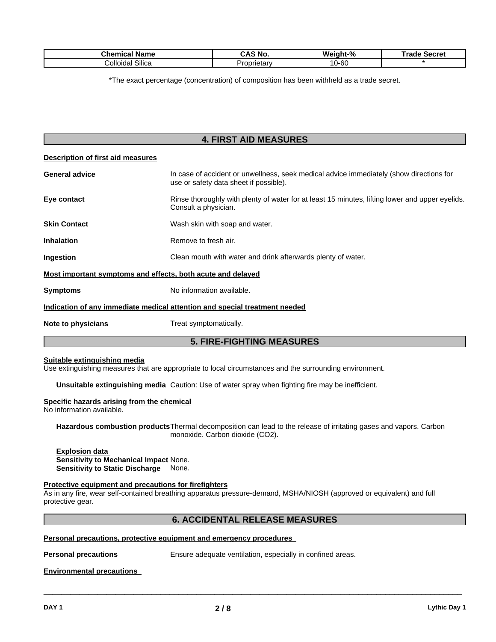| <b>Chemical Name</b>                 | $\Omega$ No.<br>$\overline{\phantom{a}}$<br>״<br>JNJ. | Weight-% | Secret<br>Trade |
|--------------------------------------|-------------------------------------------------------|----------|-----------------|
| $\sim \cdots$<br>Colloidal<br>Silica | Proprietary                                           | 10-60    |                 |

\*The exact percentage (concentration) of composition has been withheld as a trade secret.

## **4. FIRST AID MEASURES**

| Description of first aid measures                                                                                                                          |                                                                                                                         |  |  |
|------------------------------------------------------------------------------------------------------------------------------------------------------------|-------------------------------------------------------------------------------------------------------------------------|--|--|
| In case of accident or unwellness, seek medical advice immediately (show directions for<br><b>General advice</b><br>use or safety data sheet if possible). |                                                                                                                         |  |  |
| Eye contact                                                                                                                                                | Rinse thoroughly with plenty of water for at least 15 minutes, lifting lower and upper eyelids.<br>Consult a physician. |  |  |
| <b>Skin Contact</b>                                                                                                                                        | Wash skin with soap and water.                                                                                          |  |  |
| <b>Inhalation</b>                                                                                                                                          | Remove to fresh air.                                                                                                    |  |  |
| Ingestion                                                                                                                                                  | Clean mouth with water and drink afterwards plenty of water.                                                            |  |  |
|                                                                                                                                                            | Most important symptoms and effects, both acute and delayed                                                             |  |  |
| <b>Symptoms</b>                                                                                                                                            | No information available.                                                                                               |  |  |
|                                                                                                                                                            | Indication of any immediate medical attention and special treatment needed                                              |  |  |
| Note to physicians                                                                                                                                         | Treat symptomatically.                                                                                                  |  |  |
| <b>5. FIRE-FIGHTING MEASURES</b>                                                                                                                           |                                                                                                                         |  |  |

#### **Suitable extinguishing media**

Use extinguishing measures that are appropriate to local circumstances and the surrounding environment.

**Unsuitable extinguishing media** Caution: Use of water spray when fighting fire may be inefficient.

#### **Specific hazards arising from the chemical**

No information available.

**Hazardous combustion products**Thermal decomposition can lead to the release of irritating gases and vapors. Carbon monoxide. Carbon dioxide (CO2).

**Explosion data Sensitivity to Mechanical Impact** None. **Sensitivity to Static Discharge** None.

#### **Protective equipment and precautions for firefighters**

As in any fire, wear self-contained breathing apparatus pressure-demand, MSHA/NIOSH (approved or equivalent) and full protective gear.

#### **6. ACCIDENTAL RELEASE MEASURES**

#### **Personal precautions, protective equipment and emergency procedures**

**Personal precautions** Ensure adequate ventilation, especially in confined areas.

 $\overline{\phantom{a}}$  ,  $\overline{\phantom{a}}$  ,  $\overline{\phantom{a}}$  ,  $\overline{\phantom{a}}$  ,  $\overline{\phantom{a}}$  ,  $\overline{\phantom{a}}$  ,  $\overline{\phantom{a}}$  ,  $\overline{\phantom{a}}$  ,  $\overline{\phantom{a}}$  ,  $\overline{\phantom{a}}$  ,  $\overline{\phantom{a}}$  ,  $\overline{\phantom{a}}$  ,  $\overline{\phantom{a}}$  ,  $\overline{\phantom{a}}$  ,  $\overline{\phantom{a}}$  ,  $\overline{\phantom{a}}$ 

#### **Environmental precautions**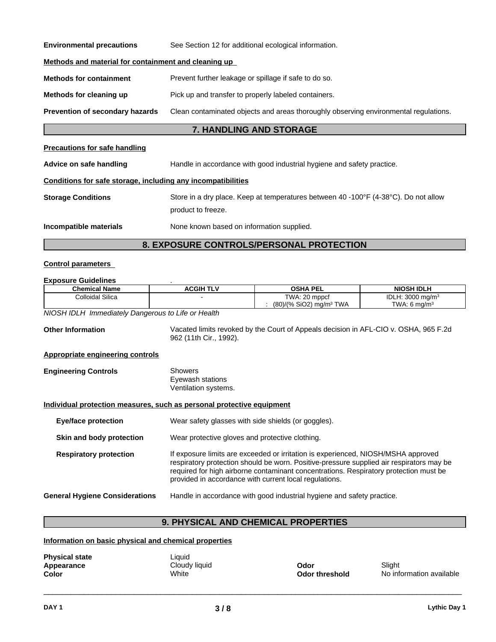| <b>Environmental precautions</b><br>See Section 12 for additional ecological information.                               |                                                                                                           |  |  |  |
|-------------------------------------------------------------------------------------------------------------------------|-----------------------------------------------------------------------------------------------------------|--|--|--|
| Methods and material for containment and cleaning up                                                                    |                                                                                                           |  |  |  |
| <b>Methods for containment</b><br>Prevent further leakage or spillage if safe to do so.                                 |                                                                                                           |  |  |  |
| Pick up and transfer to properly labeled containers.<br>Methods for cleaning up                                         |                                                                                                           |  |  |  |
| Prevention of secondary hazards<br>Clean contaminated objects and areas thoroughly observing environmental regulations. |                                                                                                           |  |  |  |
| 7. HANDLING AND STORAGE                                                                                                 |                                                                                                           |  |  |  |
| <b>Precautions for safe handling</b>                                                                                    |                                                                                                           |  |  |  |
| Handle in accordance with good industrial hygiene and safety practice.<br>Advice on safe handling                       |                                                                                                           |  |  |  |
| Conditions for safe storage, including any incompatibilities                                                            |                                                                                                           |  |  |  |
| <b>Storage Conditions</b>                                                                                               | Store in a dry place. Keep at temperatures between 40 -100°F (4-38°C). Do not allow<br>product to freeze. |  |  |  |
| Incompatible materials                                                                                                  | None known based on information supplied.                                                                 |  |  |  |

## **8. EXPOSURE CONTROLS/PERSONAL PROTECTION**

#### **Control parameters**

| <b>Colloidal Silica</b>                                               |                                                 |                                                                                                                                                 |                              |  |  |
|-----------------------------------------------------------------------|-------------------------------------------------|-------------------------------------------------------------------------------------------------------------------------------------------------|------------------------------|--|--|
|                                                                       |                                                 | TWA: 20 mppcf                                                                                                                                   | IDLH: 3000 mg/m <sup>3</sup> |  |  |
|                                                                       |                                                 | (80)/(% SiO2) mg/m <sup>3</sup> TWA                                                                                                             | TWA: 6 $mq/m3$               |  |  |
| NIOSH IDLH Immediately Dangerous to Life or Health                    |                                                 |                                                                                                                                                 |                              |  |  |
| <b>Other Information</b>                                              | 962 (11th Cir., 1992).                          | Vacated limits revoked by the Court of Appeals decision in AFL-CIO v. OSHA, 965 F.2d                                                            |                              |  |  |
| <b>Appropriate engineering controls</b>                               |                                                 |                                                                                                                                                 |                              |  |  |
| <b>Engineering Controls</b>                                           | Showers                                         |                                                                                                                                                 |                              |  |  |
|                                                                       | Eyewash stations                                |                                                                                                                                                 |                              |  |  |
|                                                                       | Ventilation systems.                            |                                                                                                                                                 |                              |  |  |
| Individual protection measures, such as personal protective equipment |                                                 |                                                                                                                                                 |                              |  |  |
| <b>Eye/face protection</b>                                            |                                                 | Wear safety glasses with side shields (or goggles).                                                                                             |                              |  |  |
| Skin and body protection                                              | Wear protective gloves and protective clothing. |                                                                                                                                                 |                              |  |  |
| <b>Respiratory protection</b>                                         |                                                 | If exposure limits are exceeded or irritation is experienced, NIOSH/MSHA approved                                                               |                              |  |  |
|                                                                       |                                                 | respiratory protection should be worn. Positive-pressure supplied air respirators may be                                                        |                              |  |  |
|                                                                       |                                                 | required for high airborne contaminant concentrations. Respiratory protection must be<br>provided in accordance with current local regulations. |                              |  |  |
|                                                                       |                                                 |                                                                                                                                                 |                              |  |  |
| <b>General Hygiene Considerations</b>                                 |                                                 | Handle in accordance with good industrial hygiene and safety practice.                                                                          |                              |  |  |

## **9. PHYSICAL AND CHEMICAL PROPERTIES**

## **Information on basic physical and chemical properties**

| <b>Physical state</b> |  |
|-----------------------|--|
| Appearance            |  |
| Color                 |  |

**Liquid** 

**Apply Strategier Cloudy liquid**<br>
White **Cloudy liquid**<br> **Apply Strategier Codor threshold** No info

 $\overline{\phantom{a}}$  ,  $\overline{\phantom{a}}$  ,  $\overline{\phantom{a}}$  ,  $\overline{\phantom{a}}$  ,  $\overline{\phantom{a}}$  ,  $\overline{\phantom{a}}$  ,  $\overline{\phantom{a}}$  ,  $\overline{\phantom{a}}$  ,  $\overline{\phantom{a}}$  ,  $\overline{\phantom{a}}$  ,  $\overline{\phantom{a}}$  ,  $\overline{\phantom{a}}$  ,  $\overline{\phantom{a}}$  ,  $\overline{\phantom{a}}$  ,  $\overline{\phantom{a}}$  ,  $\overline{\phantom{a}}$ 

**No information available**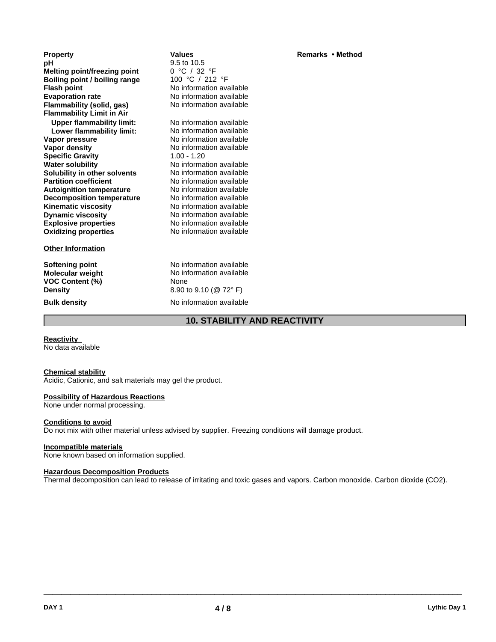| <b>Property</b>                     | Values                              | Remarks • Method |
|-------------------------------------|-------------------------------------|------------------|
| рH                                  | 9.5 to 10.5                         |                  |
| <b>Melting point/freezing point</b> | 0 °C / 32 °F                        |                  |
| Boiling point / boiling range       | 100 °C / 212 °F                     |                  |
| <b>Flash point</b>                  | No information available            |                  |
| <b>Evaporation rate</b>             | No information available            |                  |
| Flammability (solid, gas)           | No information available            |                  |
| <b>Flammability Limit in Air</b>    |                                     |                  |
| <b>Upper flammability limit:</b>    | No information available            |                  |
| Lower flammability limit:           | No information available            |                  |
| Vapor pressure                      | No information available            |                  |
| Vapor density                       | No information available            |                  |
| <b>Specific Gravity</b>             | $1.00 - 1.20$                       |                  |
| <b>Water solubility</b>             | No information available            |                  |
| Solubility in other solvents        | No information available            |                  |
| <b>Partition coefficient</b>        | No information available            |                  |
| <b>Autoignition temperature</b>     | No information available            |                  |
| <b>Decomposition temperature</b>    | No information available            |                  |
| <b>Kinematic viscosity</b>          | No information available            |                  |
| <b>Dynamic viscosity</b>            | No information available            |                  |
| <b>Explosive properties</b>         | No information available            |                  |
| <b>Oxidizing properties</b>         | No information available            |                  |
| <b>Other Information</b>            |                                     |                  |
| Softening point                     | No information available            |                  |
| <b>Molecular weight</b>             | No information available            |                  |
| VOC Content (%)                     | None                                |                  |
| <b>Density</b>                      | 8.90 to 9.10 (@ 72°F)               |                  |
| <b>Bulk density</b>                 | No information available            |                  |
|                                     | <b>10. STABILITY AND REACTIVITY</b> |                  |

**Reactivity** No data available

#### **Chemical stability**

Acidic, Cationic, and salt materials may gel the product.

#### **Possibility of Hazardous Reactions**

None under normal processing.

#### **Conditions to avoid**

Do not mix with other material unless advised by supplier. Freezing conditions will damage product.

#### **Incompatible materials**

None known based on information supplied.

#### **Hazardous Decomposition Products**

Thermal decomposition can lead to release of irritating and toxic gases and vapors. Carbon monoxide. Carbon dioxide (CO2).

 $\overline{\phantom{a}}$  ,  $\overline{\phantom{a}}$  ,  $\overline{\phantom{a}}$  ,  $\overline{\phantom{a}}$  ,  $\overline{\phantom{a}}$  ,  $\overline{\phantom{a}}$  ,  $\overline{\phantom{a}}$  ,  $\overline{\phantom{a}}$  ,  $\overline{\phantom{a}}$  ,  $\overline{\phantom{a}}$  ,  $\overline{\phantom{a}}$  ,  $\overline{\phantom{a}}$  ,  $\overline{\phantom{a}}$  ,  $\overline{\phantom{a}}$  ,  $\overline{\phantom{a}}$  ,  $\overline{\phantom{a}}$ 

## **Remarks** • Method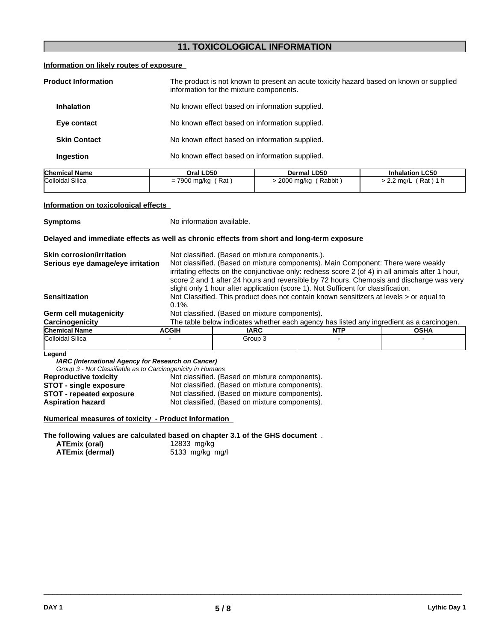## **11. TOXICOLOGICAL INFORMATION**

#### **Information on likely routes of exposure**

| <b>Product Information</b> | The product is not known to present an acute toxicity hazard based on known or supplied<br>information for the mixture components. |
|----------------------------|------------------------------------------------------------------------------------------------------------------------------------|
| <b>Inhalation</b>          | No known effect based on information supplied.                                                                                     |
| Eye contact                | No known effect based on information supplied.                                                                                     |
| <b>Skin Contact</b>        | No known effect based on information supplied.                                                                                     |
| Ingestion                  | No known effect based on information supplied.                                                                                     |

| <b>Chemical Name</b> | Oral LD50                                             | Dermal LD50          | <b>Inhalation LC50</b>        |
|----------------------|-------------------------------------------------------|----------------------|-------------------------------|
| Colloidal Silica     | Rat<br>$\neg \wedge \wedge \wedge$<br>7900 mg/kg<br>- | Rabbit<br>2000 mg/kg | , Rat ا<br>$2.2 \text{ mq/L}$ |
|                      |                                                       |                      |                               |

#### **Information on toxicological effects**

**Symptoms** No information available.

#### **Delayed and immediate effects as well as chronic effects from short and long-term exposure**

| <b>Skin corrosion/irritation</b>  |              | Not classified. (Based on mixture components.).                                          |                                                                                                  |             |  |
|-----------------------------------|--------------|------------------------------------------------------------------------------------------|--------------------------------------------------------------------------------------------------|-------------|--|
| Serious eye damage/eye irritation |              | Not classified. (Based on mixture components). Main Component: There were weakly         |                                                                                                  |             |  |
|                                   |              |                                                                                          | irritating effects on the conjunctivae only: redness score 2 (of 4) in all animals after 1 hour, |             |  |
|                                   |              |                                                                                          | score 2 and 1 after 24 hours and reversible by 72 hours. Chemosis and discharge was very         |             |  |
|                                   |              |                                                                                          | slight only 1 hour after application (score 1). Not Sufficent for classification.                |             |  |
| <b>Sensitization</b>              |              | Not Classified. This product does not contain known sensitizers at levels > or equal to  |                                                                                                  |             |  |
|                                   | $0.1\%$ .    |                                                                                          |                                                                                                  |             |  |
| <b>Germ cell mutagenicity</b>     |              | Not classified. (Based on mixture components).                                           |                                                                                                  |             |  |
| Carcinogenicity                   |              | The table below indicates whether each agency has listed any ingredient as a carcinogen. |                                                                                                  |             |  |
| <b>Chemical Name</b>              | <b>ACGIH</b> | <b>IARC</b>                                                                              | <b>NTP</b>                                                                                       | <b>OSHA</b> |  |
| Colloidal Silica                  |              | Group 3                                                                                  |                                                                                                  |             |  |
|                                   |              |                                                                                          |                                                                                                  |             |  |

#### **Legend**

*IARC (International Agency for Research on Cancer)*

*Group 3 - Not Classifiable as to Carcinogenicity in Humans*

| <b>Reproductive toxicity</b>    | Not classified. (Based on mixture components). |
|---------------------------------|------------------------------------------------|
| <b>STOT - single exposure</b>   | Not classified. (Based on mixture components). |
| <b>STOT - repeated exposure</b> | Not classified. (Based on mixture components). |
| <b>Aspiration hazard</b>        | Not classified. (Based on mixture components). |

#### **Numerical measures of toxicity - Product Information**

**The following values are calculated based on chapter 3.1 of the GHS document** .

| <b>ATEmix (oral)</b> |                        |
|----------------------|------------------------|
|                      | <b>ATFmix (dermal)</b> |

**ATEmix (oral)** 12833 mg/kg **ATEmix (dermal)**5133 mg/kg mg/l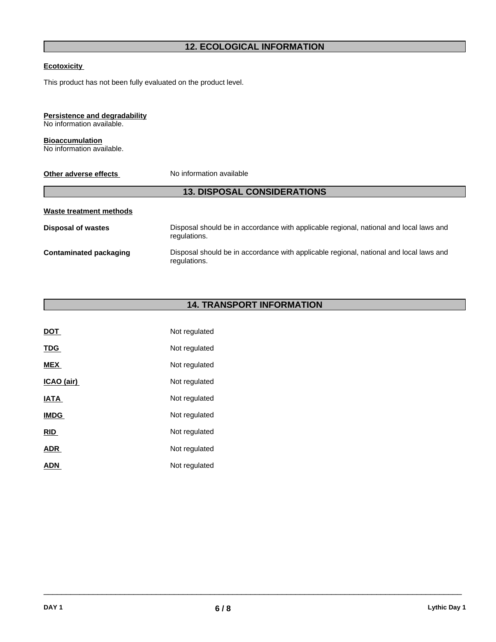## **12. ECOLOGICAL INFORMATION**

#### **Ecotoxicity**

This product has not been fully evaluated on the product level.

## **Persistence and degradability**

No information available.

#### **Bioaccumulation** No information available.

| Other adverse effects              | No information available                                                                               |  |  |
|------------------------------------|--------------------------------------------------------------------------------------------------------|--|--|
| <b>13. DISPOSAL CONSIDERATIONS</b> |                                                                                                        |  |  |
| Waste treatment methods            |                                                                                                        |  |  |
| <b>Disposal of wastes</b>          | Disposal should be in accordance with applicable regional, national and local laws and<br>regulations. |  |  |
| Contaminated packaging             | Disposal should be in accordance with applicable regional, national and local laws and<br>regulations. |  |  |
|                                    |                                                                                                        |  |  |

## **14. TRANSPORT INFORMATION**

| <b>DOT</b>  | Not regulated |
|-------------|---------------|
| <b>TDG</b>  | Not regulated |
| <b>MEX</b>  | Not regulated |
| ICAO (air)  | Not regulated |
| <b>IATA</b> | Not regulated |
| <b>IMDG</b> | Not regulated |
| <b>RID</b>  | Not regulated |
| <b>ADR</b>  | Not regulated |
| <b>ADN</b>  | Not regulated |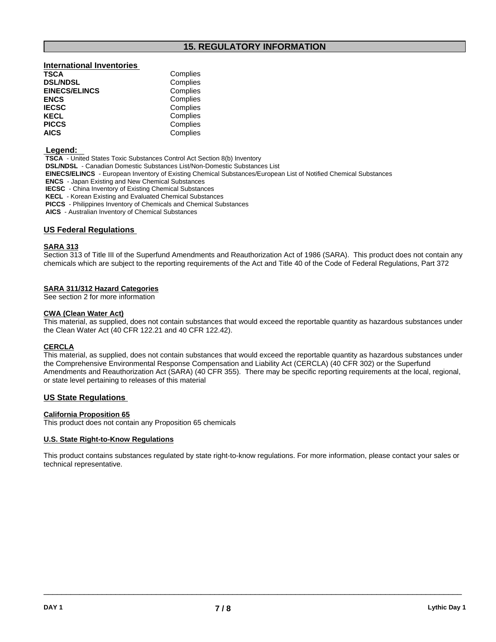## **15. REGULATORY INFORMATION**

# **International Inventories**

| Complies |  |
|----------|--|
| Complies |  |
| Complies |  |
| Complies |  |
| Complies |  |
| Complies |  |
| Complies |  |
|          |  |

#### **Legend:**

 **TSCA** - United States Toxic Substances Control Act Section 8(b) Inventory

 **DSL/NDSL** - Canadian Domestic Substances List/Non-Domestic Substances List

**Complies** 

 **EINECS/ELINCS** - European Inventory of Existing Chemical Substances/European List of Notified Chemical Substances

 **ENCS** - Japan Existing and New Chemical Substances

 **IECSC** - China Inventory of Existing Chemical Substances

 **KECL** - Korean Existing and Evaluated Chemical Substances

 **PICCS** - Philippines Inventory of Chemicals and Chemical Substances

 **AICS** - Australian Inventory of Chemical Substances

#### **US Federal Regulations**

#### **SARA 313**

Section 313 of Title III of the Superfund Amendments and Reauthorization Act of 1986 (SARA). This product does not contain any chemicals which are subject to the reporting requirements of the Act and Title 40 of the Code of Federal Regulations, Part 372

#### **SARA 311/312 Hazard Categories**

See section 2 for more information

#### **CWA** (Clean Water Act)

This material, as supplied, does not contain substances that would exceed the reportable quantity as hazardous substances under the Clean Water Act (40 CFR 122.21 and 40 CFR 122.42).

#### **CERCLA**

This material, as supplied, does not contain substances that would exceed the reportable quantity as hazardous substances under the Comprehensive Environmental Response Compensation and Liability Act(CERCLA) (40 CFR 302) or the Superfund Amendments and Reauthorization Act (SARA) (40 CFR 355). There may be specific reporting requirements at the local, regional, or state level pertaining to releases of this material

#### **US State Regulations**

#### **California Proposition 65**

This product does not contain any Proposition 65 chemicals

#### **U.S. State Right-to-Know Regulations**

This product contains substances regulated by state right-to-know regulations. For more information, please contact your sales or technical representative.